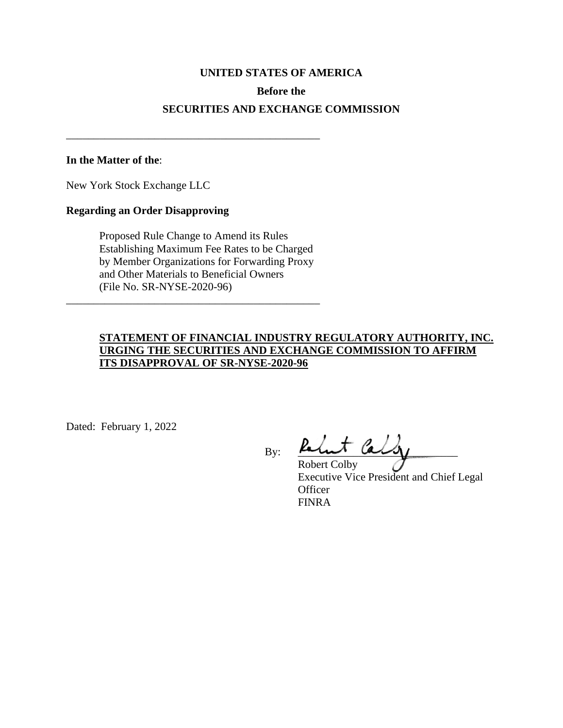# **UNITED STATES OF AMERICA Before the SECURITIES AND EXCHANGE COMMISSION**

#### **In the Matter of the**:

New York Stock Exchange LLC

#### **Regarding an Order Disapproving**

Proposed Rule Change to Amend its Rules Establishing Maximum Fee Rates to be Charged by Member Organizations for Forwarding Proxy and Other Materials to Beneficial Owners (File No. SR-NYSE-2020-96)

\_\_\_\_\_\_\_\_\_\_\_\_\_\_\_\_\_\_\_\_\_\_\_\_\_\_\_\_\_\_\_\_\_\_\_\_\_\_\_\_\_\_\_\_\_\_

\_\_\_\_\_\_\_\_\_\_\_\_\_\_\_\_\_\_\_\_\_\_\_\_\_\_\_\_\_\_\_\_\_\_\_\_\_\_\_\_\_\_\_\_\_\_

# **STATEMENT OF FINANCIAL INDUSTRY REGULATORY AUTHORITY, INC. URGING THE SECURITIES AND EXCHANGE COMMISSION TO AFFIRM ITS DISAPPROVAL OF SR-NYSE-2020-96**

Dated: February 1, 2022

 $By:$   $\frac{\mu_{\text{max}}}{\mu_{\text{max}}}-\frac{\mu_{\text{max}}}{\mu_{\text{max}}}-\frac{\mu_{\text{max}}}{\mu_{\text{max}}}-\frac{\mu_{\text{max}}}{\mu_{\text{max}}}-\frac{\mu_{\text{max}}}{\mu_{\text{max}}}-\frac{\mu_{\text{max}}}{\mu_{\text{max}}}-\frac{\mu_{\text{max}}}{\mu_{\text{max}}}-\frac{\mu_{\text{max}}}{\mu_{\text{max}}}-\frac{\mu_{\text{max}}}{\mu_{\text{max}}}-\frac{\mu_{\text{max}}}{\mu_{\text{max}}}-\frac{\mu_{\text{max}}}{\mu_{\$ 

Robert Colby Executive Vice President and Chief Legal **Officer** FINRA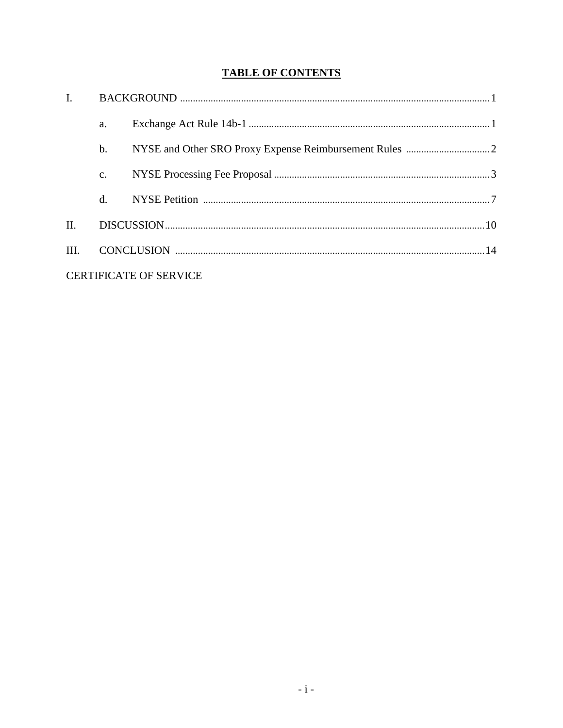# **TABLE OF CONTENTS**

| $\mathbf{I}$                  |                 |  |  |  |
|-------------------------------|-----------------|--|--|--|
|                               | a.              |  |  |  |
|                               | $\mathbf{b}$ .  |  |  |  |
|                               | $\mathcal{C}$ . |  |  |  |
|                               | $d_{\cdot}$     |  |  |  |
| II.                           |                 |  |  |  |
| III.                          |                 |  |  |  |
| <b>CERTIFICATE OF SERVICE</b> |                 |  |  |  |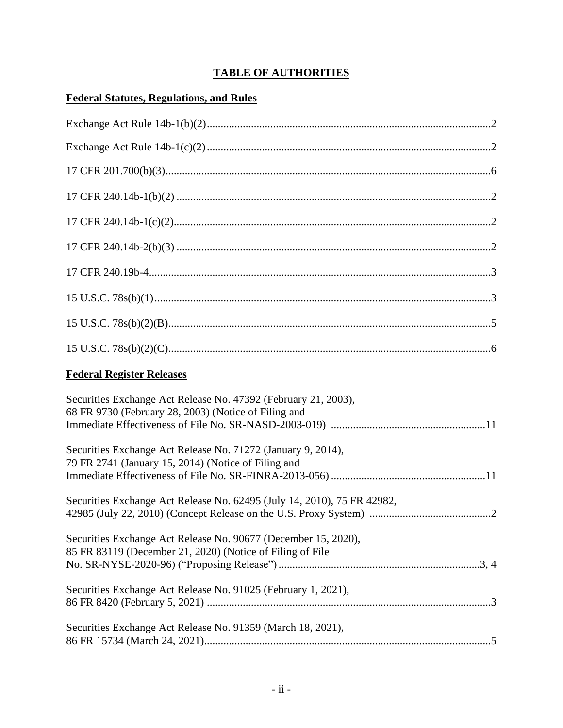# **TABLE OF AUTHORITIES**

# **Federal Statutes, Regulations, and Rules**

| <b>Federal Register Releases</b>                                                                                            |
|-----------------------------------------------------------------------------------------------------------------------------|
| Securities Exchange Act Release No. 47392 (February 21, 2003),<br>68 FR 9730 (February 28, 2003) (Notice of Filing and      |
| Securities Exchange Act Release No. 71272 (January 9, 2014),<br>79 FR 2741 (January 15, 2014) (Notice of Filing and         |
| Securities Exchange Act Release No. 62495 (July 14, 2010), 75 FR 42982,                                                     |
| Securities Exchange Act Release No. 90677 (December 15, 2020),<br>85 FR 83119 (December 21, 2020) (Notice of Filing of File |
| Securities Exchange Act Release No. 91025 (February 1, 2021),                                                               |
| Securities Exchange Act Release No. 91359 (March 18, 2021),                                                                 |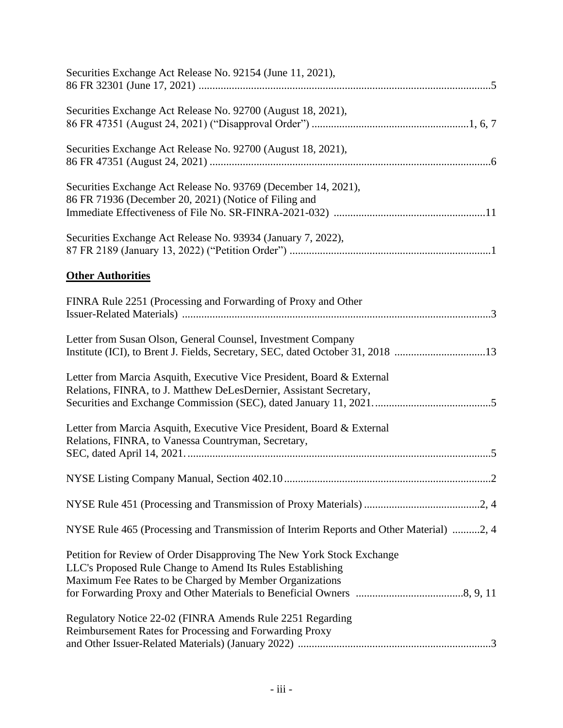| Securities Exchange Act Release No. 92154 (June 11, 2021),                                                                                                                                     |
|------------------------------------------------------------------------------------------------------------------------------------------------------------------------------------------------|
| Securities Exchange Act Release No. 92700 (August 18, 2021),                                                                                                                                   |
| Securities Exchange Act Release No. 92700 (August 18, 2021),                                                                                                                                   |
| Securities Exchange Act Release No. 93769 (December 14, 2021),<br>86 FR 71936 (December 20, 2021) (Notice of Filing and                                                                        |
| Securities Exchange Act Release No. 93934 (January 7, 2022),                                                                                                                                   |
| <b>Other Authorities</b>                                                                                                                                                                       |
| FINRA Rule 2251 (Processing and Forwarding of Proxy and Other                                                                                                                                  |
| Letter from Susan Olson, General Counsel, Investment Company<br>Institute (ICI), to Brent J. Fields, Secretary, SEC, dated October 31, 2018 13                                                 |
| Letter from Marcia Asquith, Executive Vice President, Board & External<br>Relations, FINRA, to J. Matthew DeLesDernier, Assistant Secretary,                                                   |
| Letter from Marcia Asquith, Executive Vice President, Board & External<br>Relations, FINRA, to Vanessa Countryman, Secretary,                                                                  |
|                                                                                                                                                                                                |
|                                                                                                                                                                                                |
| NYSE Rule 465 (Processing and Transmission of Interim Reports and Other Material) 2, 4                                                                                                         |
| Petition for Review of Order Disapproving The New York Stock Exchange<br>LLC's Proposed Rule Change to Amend Its Rules Establishing<br>Maximum Fee Rates to be Charged by Member Organizations |
| Regulatory Notice 22-02 (FINRA Amends Rule 2251 Regarding<br>Reimbursement Rates for Processing and Forwarding Proxy                                                                           |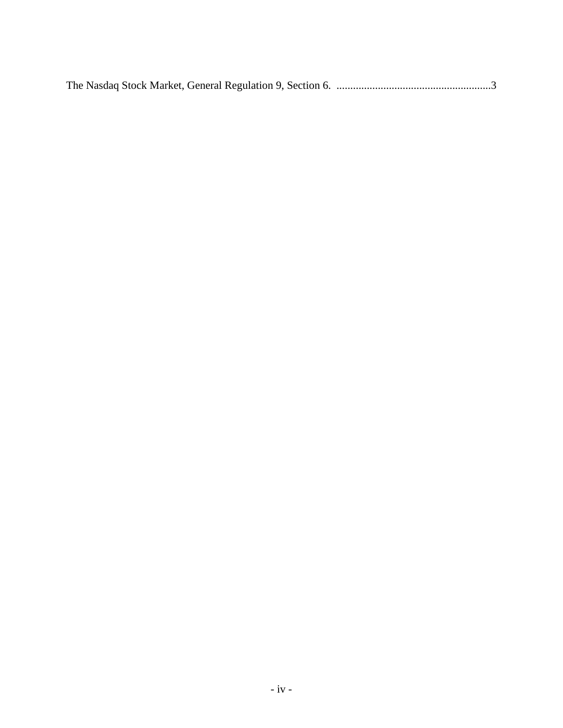The Nasdaq Stock Market, General Regulation 9, Section 6. ........................................................3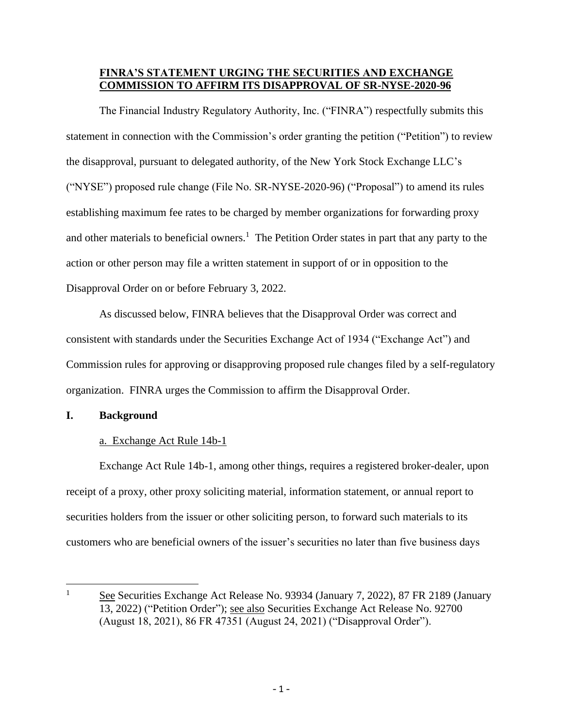## **FINRA'S STATEMENT URGING THE SECURITIES AND EXCHANGE COMMISSION TO AFFIRM ITS DISAPPROVAL OF SR-NYSE-2020-96**

The Financial Industry Regulatory Authority, Inc. ("FINRA") respectfully submits this statement in connection with the Commission's order granting the petition ("Petition") to review the disapproval, pursuant to delegated authority, of the New York Stock Exchange LLC's ("NYSE") proposed rule change (File No. SR-NYSE-2020-96) ("Proposal") to amend its rules establishing maximum fee rates to be charged by member organizations for forwarding proxy and other materials to beneficial owners.<sup>1</sup> The Petition Order states in part that any party to the action or other person may file a written statement in support of or in opposition to the Disapproval Order on or before February 3, 2022.

As discussed below, FINRA believes that the Disapproval Order was correct and consistent with standards under the Securities Exchange Act of 1934 ("Exchange Act") and Commission rules for approving or disapproving proposed rule changes filed by a self-regulatory organization. FINRA urges the Commission to affirm the Disapproval Order.

#### **I. Background**

## a. Exchange Act Rule 14b-1

Exchange Act Rule 14b-1, among other things, requires a registered broker-dealer, upon receipt of a proxy, other proxy soliciting material, information statement, or annual report to securities holders from the issuer or other soliciting person, to forward such materials to its customers who are beneficial owners of the issuer's securities no later than five business days

<sup>&</sup>lt;sup>1</sup> See Securities Exchange Act Release No. 93934 (January 7, 2022), 87 FR 2189 (January 13, 2022) ("Petition Order"); see also Securities Exchange Act Release No. 92700 (August 18, 2021), 86 FR 47351 (August 24, 2021) ("Disapproval Order").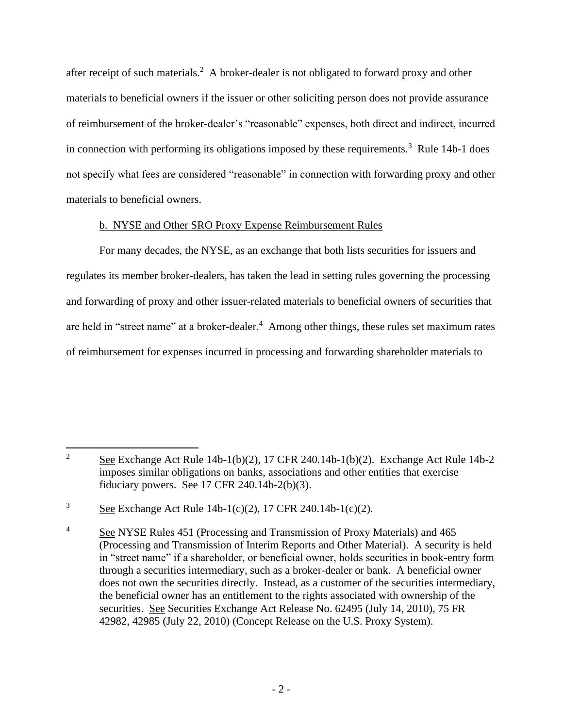after receipt of such materials.<sup>2</sup> A broker-dealer is not obligated to forward proxy and other materials to beneficial owners if the issuer or other soliciting person does not provide assurance of reimbursement of the broker-dealer's "reasonable" expenses, both direct and indirect, incurred in connection with performing its obligations imposed by these requirements.<sup>3</sup> Rule 14b-1 does not specify what fees are considered "reasonable" in connection with forwarding proxy and other materials to beneficial owners.

## b. NYSE and Other SRO Proxy Expense Reimbursement Rules

For many decades, the NYSE, as an exchange that both lists securities for issuers and regulates its member broker-dealers, has taken the lead in setting rules governing the processing and forwarding of proxy and other issuer-related materials to beneficial owners of securities that are held in "street name" at a broker-dealer.<sup>4</sup> Among other things, these rules set maximum rates of reimbursement for expenses incurred in processing and forwarding shareholder materials to

<sup>&</sup>lt;sup>2</sup> See Exchange Act Rule 14b-1(b)(2), 17 CFR 240.14b-1(b)(2). Exchange Act Rule 14b-2 imposes similar obligations on banks, associations and other entities that exercise fiduciary powers. See 17 CFR 240.14b-2(b)(3).

 $3 \text{ See}$  Exchange Act Rule 14b-1(c)(2), 17 CFR 240.14b-1(c)(2).

<sup>&</sup>lt;sup>4</sup> See NYSE Rules 451 (Processing and Transmission of Proxy Materials) and 465 (Processing and Transmission of Interim Reports and Other Material). A security is held in "street name" if a shareholder, or beneficial owner, holds securities in book-entry form through a securities intermediary, such as a broker-dealer or bank. A beneficial owner does not own the securities directly. Instead, as a customer of the securities intermediary, the beneficial owner has an entitlement to the rights associated with ownership of the securities. See Securities Exchange Act Release No. 62495 (July 14, 2010), 75 FR 42982, 42985 (July 22, 2010) (Concept Release on the U.S. Proxy System).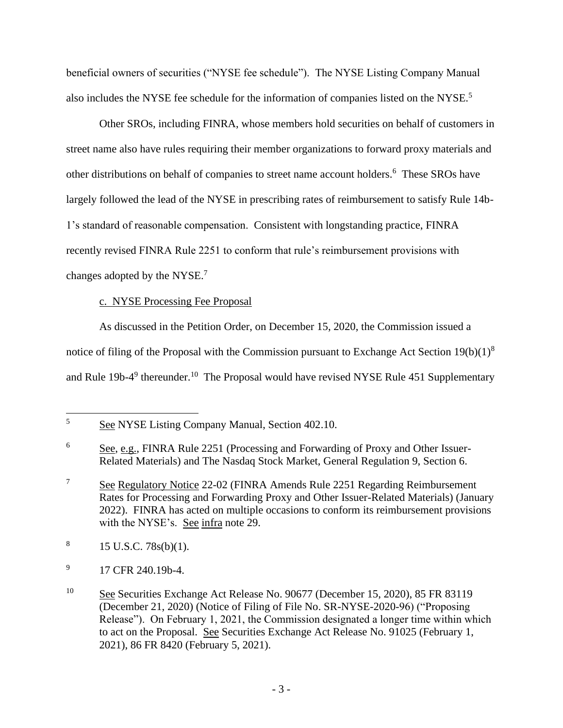beneficial owners of securities ("NYSE fee schedule"). The NYSE Listing Company Manual also includes the NYSE fee schedule for the information of companies listed on the NYSE.<sup>5</sup>

Other SROs, including FINRA, whose members hold securities on behalf of customers in street name also have rules requiring their member organizations to forward proxy materials and other distributions on behalf of companies to street name account holders.<sup>6</sup> These SROs have largely followed the lead of the NYSE in prescribing rates of reimbursement to satisfy Rule 14b-1's standard of reasonable compensation. Consistent with longstanding practice, FINRA recently revised FINRA Rule 2251 to conform that rule's reimbursement provisions with changes adopted by the NYSE.<sup>7</sup>

# c. NYSE Processing Fee Proposal

As discussed in the Petition Order, on December 15, 2020, the Commission issued a notice of filing of the Proposal with the Commission pursuant to Exchange Act Section 19(b)(1)<sup>8</sup> and Rule 19b-4<sup>9</sup> thereunder.<sup>10</sup> The Proposal would have revised NYSE Rule 451 Supplementary

<sup>5</sup> See NYSE Listing Company Manual, Section 402.10.

<sup>6</sup> See, e.g., FINRA Rule 2251 (Processing and Forwarding of Proxy and Other Issuer-Related Materials) and The Nasdaq Stock Market, General Regulation 9, Section 6.

<sup>&</sup>lt;sup>7</sup> See Regulatory Notice 22-02 (FINRA Amends Rule 2251 Regarding Reimbursement Rates for Processing and Forwarding Proxy and Other Issuer-Related Materials) (January 2022). FINRA has acted on multiple occasions to conform its reimbursement provisions with the NYSE's. See infra note 29.

<sup>8</sup> 15 U.S.C. 78s(b)(1).

<sup>9</sup> 17 CFR 240.19b-4.

<sup>&</sup>lt;sup>10</sup> See Securities Exchange Act Release No. 90677 (December 15, 2020), 85 FR 83119 (December 21, 2020) (Notice of Filing of File No. SR-NYSE-2020-96) ("Proposing Release"). On February 1, 2021, the Commission designated a longer time within which to act on the Proposal. See Securities Exchange Act Release No. 91025 (February 1, 2021), 86 FR 8420 (February 5, 2021).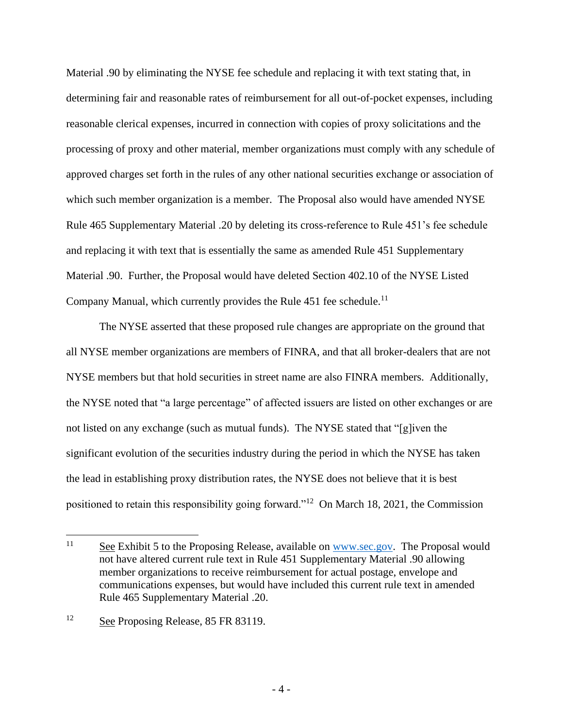Material .90 by eliminating the NYSE fee schedule and replacing it with text stating that, in determining fair and reasonable rates of reimbursement for all out-of-pocket expenses, including reasonable clerical expenses, incurred in connection with copies of proxy solicitations and the processing of proxy and other material, member organizations must comply with any schedule of approved charges set forth in the rules of any other national securities exchange or association of which such member organization is a member. The Proposal also would have amended NYSE Rule 465 Supplementary Material .20 by deleting its cross-reference to Rule 451's fee schedule and replacing it with text that is essentially the same as amended Rule 451 Supplementary Material .90. Further, the Proposal would have deleted Section 402.10 of the NYSE Listed Company Manual, which currently provides the Rule  $451$  fee schedule.<sup>11</sup>

The NYSE asserted that these proposed rule changes are appropriate on the ground that all NYSE member organizations are members of FINRA, and that all broker-dealers that are not NYSE members but that hold securities in street name are also FINRA members. Additionally, the NYSE noted that "a large percentage" of affected issuers are listed on other exchanges or are not listed on any exchange (such as mutual funds). The NYSE stated that "[g]iven the significant evolution of the securities industry during the period in which the NYSE has taken the lead in establishing proxy distribution rates, the NYSE does not believe that it is best positioned to retain this responsibility going forward."<sup>12</sup> On March 18, 2021, the Commission

<sup>&</sup>lt;sup>11</sup> See Exhibit 5 to the Proposing Release, available on [www.sec.gov.](http://www.sec.gov/) The Proposal would not have altered current rule text in Rule 451 Supplementary Material .90 allowing member organizations to receive reimbursement for actual postage, envelope and communications expenses, but would have included this current rule text in amended Rule 465 Supplementary Material .20.

<sup>&</sup>lt;sup>12</sup> See Proposing Release, 85 FR 83119.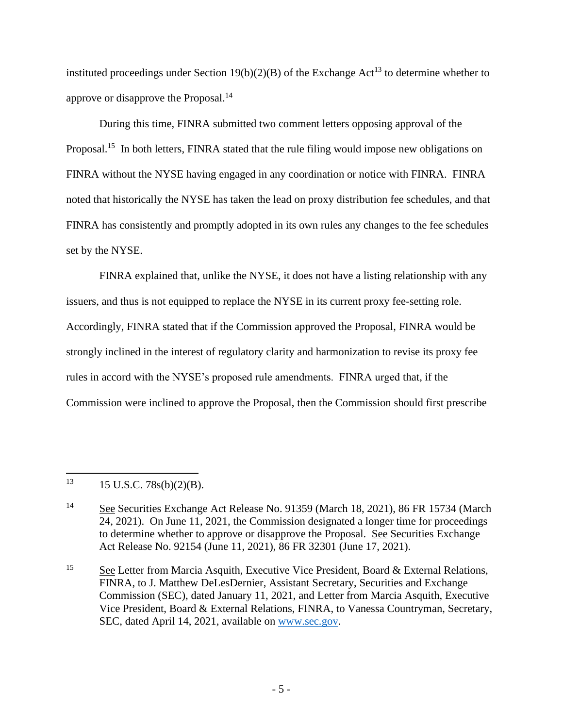instituted proceedings under Section 19(b)(2)(B) of the Exchange Act<sup>13</sup> to determine whether to approve or disapprove the Proposal.<sup>14</sup>

During this time, FINRA submitted two comment letters opposing approval of the Proposal.<sup>15</sup> In both letters, FINRA stated that the rule filing would impose new obligations on FINRA without the NYSE having engaged in any coordination or notice with FINRA. FINRA noted that historically the NYSE has taken the lead on proxy distribution fee schedules, and that FINRA has consistently and promptly adopted in its own rules any changes to the fee schedules set by the NYSE.

FINRA explained that, unlike the NYSE, it does not have a listing relationship with any issuers, and thus is not equipped to replace the NYSE in its current proxy fee-setting role. Accordingly, FINRA stated that if the Commission approved the Proposal, FINRA would be strongly inclined in the interest of regulatory clarity and harmonization to revise its proxy fee rules in accord with the NYSE's proposed rule amendments. FINRA urged that, if the Commission were inclined to approve the Proposal, then the Commission should first prescribe

 $13$  15 U.S.C. 78s(b)(2)(B).

<sup>15</sup> See Letter from Marcia Asquith, Executive Vice President, Board & External Relations, FINRA, to J. Matthew DeLesDernier, Assistant Secretary, Securities and Exchange Commission (SEC), dated January 11, 2021, and Letter from Marcia Asquith, Executive Vice President, Board & External Relations, FINRA, to Vanessa Countryman, Secretary, SEC, dated April 14, 2021, available on [www.sec.gov.](http://www.sec.gov/)

<sup>14</sup> See Securities Exchange Act Release No. 91359 (March 18, 2021), 86 FR 15734 (March 24, 2021). On June 11, 2021, the Commission designated a longer time for proceedings to determine whether to approve or disapprove the Proposal. See Securities Exchange Act Release No. 92154 (June 11, 2021), 86 FR 32301 (June 17, 2021).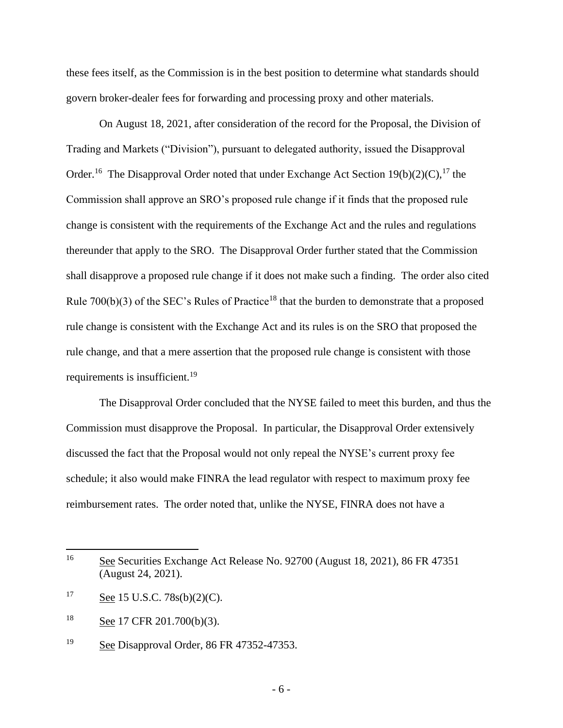these fees itself, as the Commission is in the best position to determine what standards should govern broker-dealer fees for forwarding and processing proxy and other materials.

On August 18, 2021, after consideration of the record for the Proposal, the Division of Trading and Markets ("Division"), pursuant to delegated authority, issued the Disapproval Order.<sup>16</sup> The Disapproval Order noted that under Exchange Act Section  $19(b)(2)(C)$ ,<sup>17</sup> the Commission shall approve an SRO's proposed rule change if it finds that the proposed rule change is consistent with the requirements of the Exchange Act and the rules and regulations thereunder that apply to the SRO. The Disapproval Order further stated that the Commission shall disapprove a proposed rule change if it does not make such a finding. The order also cited Rule  $700(b)(3)$  of the SEC's Rules of Practice<sup>18</sup> that the burden to demonstrate that a proposed rule change is consistent with the Exchange Act and its rules is on the SRO that proposed the rule change, and that a mere assertion that the proposed rule change is consistent with those requirements is insufficient.<sup>19</sup>

The Disapproval Order concluded that the NYSE failed to meet this burden, and thus the Commission must disapprove the Proposal. In particular, the Disapproval Order extensively discussed the fact that the Proposal would not only repeal the NYSE's current proxy fee schedule; it also would make FINRA the lead regulator with respect to maximum proxy fee reimbursement rates. The order noted that, unlike the NYSE, FINRA does not have a

<sup>&</sup>lt;sup>16</sup> See Securities Exchange Act Release No. 92700 (August 18, 2021), 86 FR 47351 (August 24, 2021).

<sup>&</sup>lt;sup>17</sup> See 15 U.S.C. 78s(b)(2)(C).

<sup>18</sup> See 17 CFR 201.700(b)(3).

<sup>19</sup> See Disapproval Order, 86 FR 47352-47353.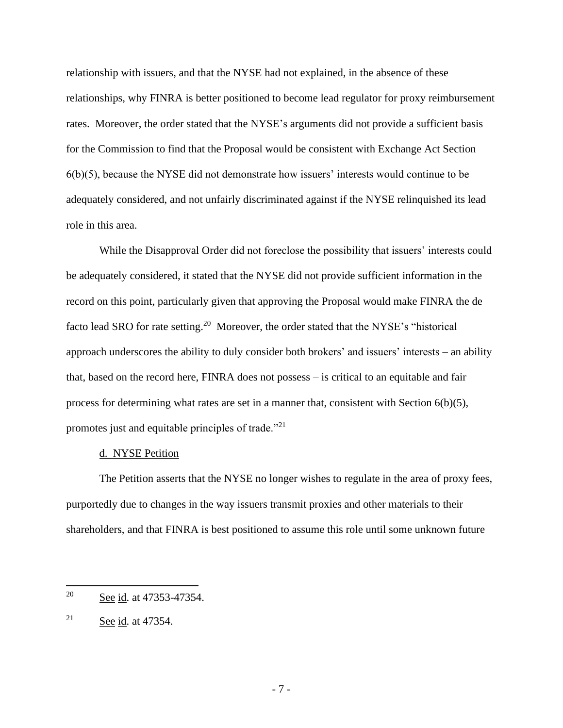relationship with issuers, and that the NYSE had not explained, in the absence of these relationships, why FINRA is better positioned to become lead regulator for proxy reimbursement rates. Moreover, the order stated that the NYSE's arguments did not provide a sufficient basis for the Commission to find that the Proposal would be consistent with Exchange Act Section  $6(b)(5)$ , because the NYSE did not demonstrate how issuers' interests would continue to be adequately considered, and not unfairly discriminated against if the NYSE relinquished its lead role in this area.

While the Disapproval Order did not foreclose the possibility that issuers' interests could be adequately considered, it stated that the NYSE did not provide sufficient information in the record on this point, particularly given that approving the Proposal would make FINRA the de facto lead SRO for rate setting.<sup>20</sup> Moreover, the order stated that the NYSE's "historical approach underscores the ability to duly consider both brokers' and issuers' interests – an ability that, based on the record here, FINRA does not possess – is critical to an equitable and fair process for determining what rates are set in a manner that, consistent with Section  $6(b)(5)$ , promotes just and equitable principles of trade."<sup>21</sup>

#### d. NYSE Petition

The Petition asserts that the NYSE no longer wishes to regulate in the area of proxy fees, purportedly due to changes in the way issuers transmit proxies and other materials to their shareholders, and that FINRA is best positioned to assume this role until some unknown future

<sup>20</sup> See id. at 47353-47354.

<sup>&</sup>lt;sup>21</sup> See id. at 47354.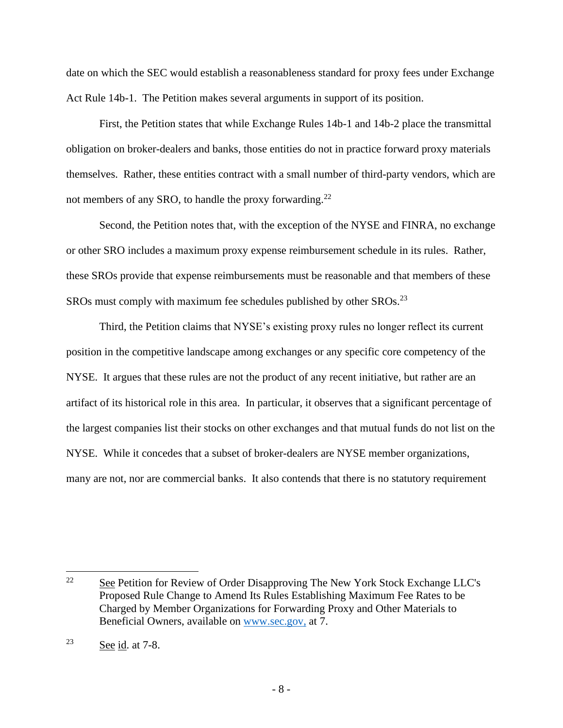date on which the SEC would establish a reasonableness standard for proxy fees under Exchange Act Rule 14b-1. The Petition makes several arguments in support of its position.

First, the Petition states that while Exchange Rules 14b-1 and 14b-2 place the transmittal obligation on broker-dealers and banks, those entities do not in practice forward proxy materials themselves. Rather, these entities contract with a small number of third-party vendors, which are not members of any SRO, to handle the proxy forwarding. $^{22}$ 

Second, the Petition notes that, with the exception of the NYSE and FINRA, no exchange or other SRO includes a maximum proxy expense reimbursement schedule in its rules. Rather, these SROs provide that expense reimbursements must be reasonable and that members of these SROs must comply with maximum fee schedules published by other SROs.<sup>23</sup>

Third, the Petition claims that NYSE's existing proxy rules no longer reflect its current position in the competitive landscape among exchanges or any specific core competency of the NYSE. It argues that these rules are not the product of any recent initiative, but rather are an artifact of its historical role in this area. In particular, it observes that a significant percentage of the largest companies list their stocks on other exchanges and that mutual funds do not list on the NYSE. While it concedes that a subset of broker-dealers are NYSE member organizations, many are not, nor are commercial banks. It also contends that there is no statutory requirement

<sup>&</sup>lt;sup>22</sup> See Petition for Review of Order Disapproving The New York Stock Exchange LLC's Proposed Rule Change to Amend Its Rules Establishing Maximum Fee Rates to be Charged by Member Organizations for Forwarding Proxy and Other Materials to Beneficial Owners, available on [www.sec.gov,](http://www.sec.gov/) at 7.

 $23$  See id. at 7-8.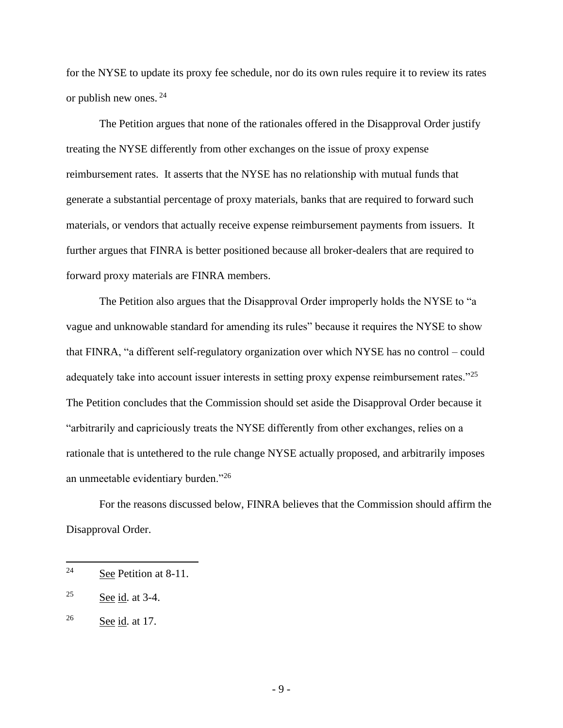for the NYSE to update its proxy fee schedule, nor do its own rules require it to review its rates or publish new ones. <sup>24</sup>

The Petition argues that none of the rationales offered in the Disapproval Order justify treating the NYSE differently from other exchanges on the issue of proxy expense reimbursement rates. It asserts that the NYSE has no relationship with mutual funds that generate a substantial percentage of proxy materials, banks that are required to forward such materials, or vendors that actually receive expense reimbursement payments from issuers. It further argues that FINRA is better positioned because all broker-dealers that are required to forward proxy materials are FINRA members.

The Petition also argues that the Disapproval Order improperly holds the NYSE to "a vague and unknowable standard for amending its rules" because it requires the NYSE to show that FINRA, "a different self-regulatory organization over which NYSE has no control – could adequately take into account issuer interests in setting proxy expense reimbursement rates."<sup>25</sup> The Petition concludes that the Commission should set aside the Disapproval Order because it "arbitrarily and capriciously treats the NYSE differently from other exchanges, relies on a rationale that is untethered to the rule change NYSE actually proposed, and arbitrarily imposes an unmeetable evidentiary burden."<sup>26</sup>

For the reasons discussed below, FINRA believes that the Commission should affirm the Disapproval Order.

<sup>24</sup> See Petition at 8-11.

 $25$  See id. at 3-4.

 $26$  See id. at 17.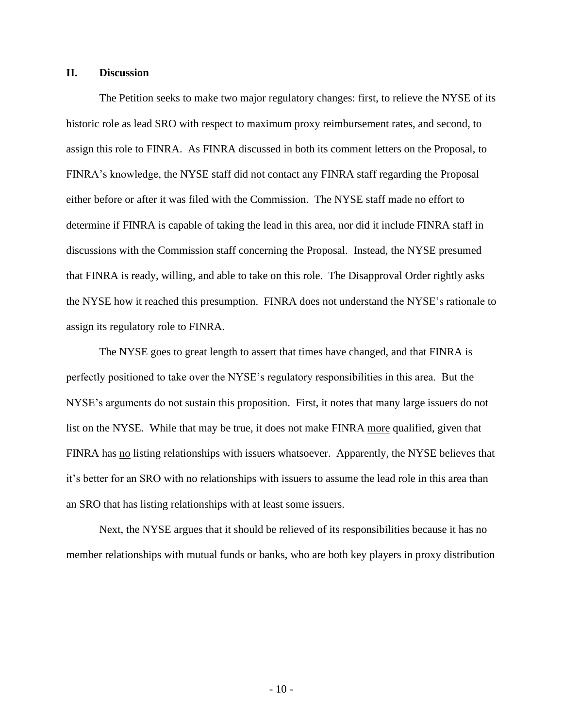#### **II. Discussion**

The Petition seeks to make two major regulatory changes: first, to relieve the NYSE of its historic role as lead SRO with respect to maximum proxy reimbursement rates, and second, to assign this role to FINRA. As FINRA discussed in both its comment letters on the Proposal, to FINRA's knowledge, the NYSE staff did not contact any FINRA staff regarding the Proposal either before or after it was filed with the Commission. The NYSE staff made no effort to determine if FINRA is capable of taking the lead in this area, nor did it include FINRA staff in discussions with the Commission staff concerning the Proposal. Instead, the NYSE presumed that FINRA is ready, willing, and able to take on this role. The Disapproval Order rightly asks the NYSE how it reached this presumption. FINRA does not understand the NYSE's rationale to assign its regulatory role to FINRA.

The NYSE goes to great length to assert that times have changed, and that FINRA is perfectly positioned to take over the NYSE's regulatory responsibilities in this area. But the NYSE's arguments do not sustain this proposition. First, it notes that many large issuers do not list on the NYSE. While that may be true, it does not make FINRA more qualified, given that FINRA has <u>no</u> listing relationships with issuers whatsoever. Apparently, the NYSE believes that it's better for an SRO with no relationships with issuers to assume the lead role in this area than an SRO that has listing relationships with at least some issuers.

Next, the NYSE argues that it should be relieved of its responsibilities because it has no member relationships with mutual funds or banks, who are both key players in proxy distribution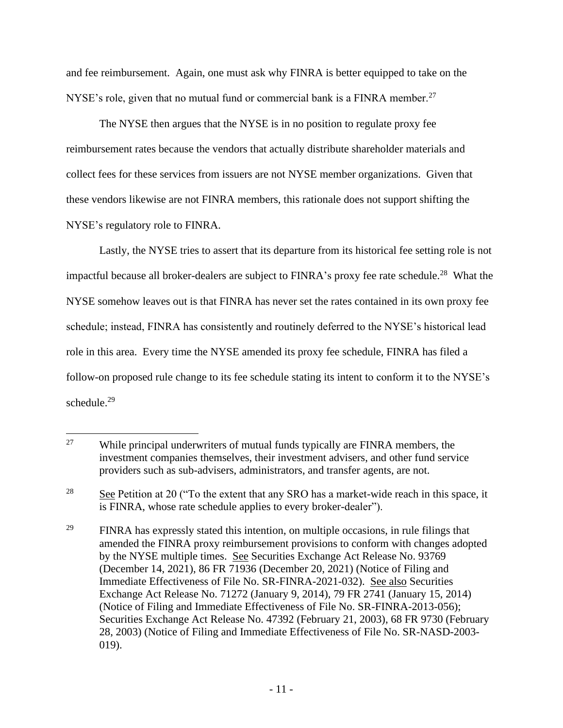and fee reimbursement. Again, one must ask why FINRA is better equipped to take on the NYSE's role, given that no mutual fund or commercial bank is a FINRA member.<sup>27</sup>

The NYSE then argues that the NYSE is in no position to regulate proxy fee reimbursement rates because the vendors that actually distribute shareholder materials and collect fees for these services from issuers are not NYSE member organizations. Given that these vendors likewise are not FINRA members, this rationale does not support shifting the NYSE's regulatory role to FINRA.

Lastly, the NYSE tries to assert that its departure from its historical fee setting role is not impactful because all broker-dealers are subject to FINRA's proxy fee rate schedule.<sup>28</sup> What the NYSE somehow leaves out is that FINRA has never set the rates contained in its own proxy fee schedule; instead, FINRA has consistently and routinely deferred to the NYSE's historical lead role in this area. Every time the NYSE amended its proxy fee schedule, FINRA has filed a follow-on proposed rule change to its fee schedule stating its intent to conform it to the NYSE's schedule.<sup>29</sup>

<sup>&</sup>lt;sup>27</sup> While principal underwriters of mutual funds typically are FINRA members, the investment companies themselves, their investment advisers, and other fund service providers such as sub-advisers, administrators, and transfer agents, are not.

<sup>&</sup>lt;sup>28</sup> See Petition at 20 ("To the extent that any SRO has a market-wide reach in this space, it is FINRA, whose rate schedule applies to every broker-dealer").

<sup>&</sup>lt;sup>29</sup> FINRA has expressly stated this intention, on multiple occasions, in rule filings that amended the FINRA proxy reimbursement provisions to conform with changes adopted by the NYSE multiple times. See Securities Exchange Act Release No. 93769 (December 14, 2021), 86 FR 71936 (December 20, 2021) (Notice of Filing and Immediate Effectiveness of File No. SR-FINRA-2021-032). See also Securities Exchange Act Release No. 71272 (January 9, 2014), 79 FR 2741 (January 15, 2014) (Notice of Filing and Immediate Effectiveness of File No. SR-FINRA-2013-056); Securities Exchange Act Release No. 47392 (February 21, 2003), 68 FR 9730 (February 28, 2003) (Notice of Filing and Immediate Effectiveness of File No. SR-NASD-2003- 019).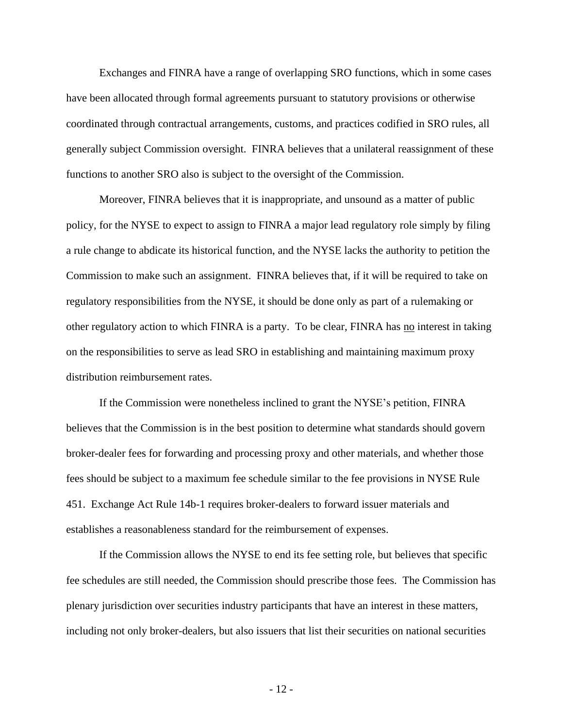Exchanges and FINRA have a range of overlapping SRO functions, which in some cases have been allocated through formal agreements pursuant to statutory provisions or otherwise coordinated through contractual arrangements, customs, and practices codified in SRO rules, all generally subject Commission oversight. FINRA believes that a unilateral reassignment of these functions to another SRO also is subject to the oversight of the Commission.

Moreover, FINRA believes that it is inappropriate, and unsound as a matter of public policy, for the NYSE to expect to assign to FINRA a major lead regulatory role simply by filing a rule change to abdicate its historical function, and the NYSE lacks the authority to petition the Commission to make such an assignment. FINRA believes that, if it will be required to take on regulatory responsibilities from the NYSE, it should be done only as part of a rulemaking or other regulatory action to which FINRA is a party. To be clear, FINRA has no interest in taking on the responsibilities to serve as lead SRO in establishing and maintaining maximum proxy distribution reimbursement rates.

If the Commission were nonetheless inclined to grant the NYSE's petition, FINRA believes that the Commission is in the best position to determine what standards should govern broker-dealer fees for forwarding and processing proxy and other materials, and whether those fees should be subject to a maximum fee schedule similar to the fee provisions in NYSE Rule 451. Exchange Act Rule 14b-1 requires broker-dealers to forward issuer materials and establishes a reasonableness standard for the reimbursement of expenses.

If the Commission allows the NYSE to end its fee setting role, but believes that specific fee schedules are still needed, the Commission should prescribe those fees. The Commission has plenary jurisdiction over securities industry participants that have an interest in these matters, including not only broker-dealers, but also issuers that list their securities on national securities

- 12 -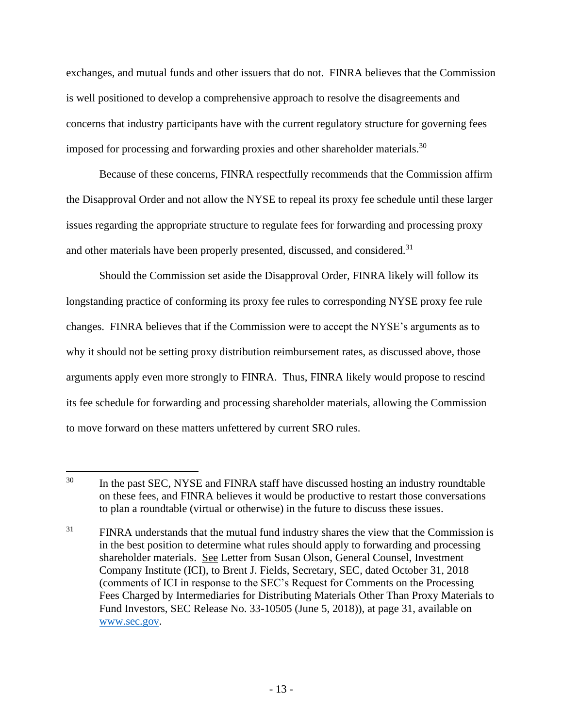exchanges, and mutual funds and other issuers that do not. FINRA believes that the Commission is well positioned to develop a comprehensive approach to resolve the disagreements and concerns that industry participants have with the current regulatory structure for governing fees imposed for processing and forwarding proxies and other shareholder materials.<sup>30</sup>

Because of these concerns, FINRA respectfully recommends that the Commission affirm the Disapproval Order and not allow the NYSE to repeal its proxy fee schedule until these larger issues regarding the appropriate structure to regulate fees for forwarding and processing proxy and other materials have been properly presented, discussed, and considered.<sup>31</sup>

Should the Commission set aside the Disapproval Order, FINRA likely will follow its longstanding practice of conforming its proxy fee rules to corresponding NYSE proxy fee rule changes. FINRA believes that if the Commission were to accept the NYSE's arguments as to why it should not be setting proxy distribution reimbursement rates, as discussed above, those arguments apply even more strongly to FINRA. Thus, FINRA likely would propose to rescind its fee schedule for forwarding and processing shareholder materials, allowing the Commission to move forward on these matters unfettered by current SRO rules.

<sup>&</sup>lt;sup>30</sup> In the past SEC, NYSE and FINRA staff have discussed hosting an industry roundtable on these fees, and FINRA believes it would be productive to restart those conversations to plan a roundtable (virtual or otherwise) in the future to discuss these issues.

 $31$  FINRA understands that the mutual fund industry shares the view that the Commission is in the best position to determine what rules should apply to forwarding and processing shareholder materials. See Letter from Susan Olson, General Counsel, Investment Company Institute (ICI), to Brent J. Fields, Secretary, SEC, dated October 31, 2018 (comments of ICI in response to the SEC's Request for Comments on the Processing Fees Charged by Intermediaries for Distributing Materials Other Than Proxy Materials to Fund Investors, SEC Release No. 33-10505 (June 5, 2018)), at page 31, available on [www.sec.gov.](http://www.sec.gov/)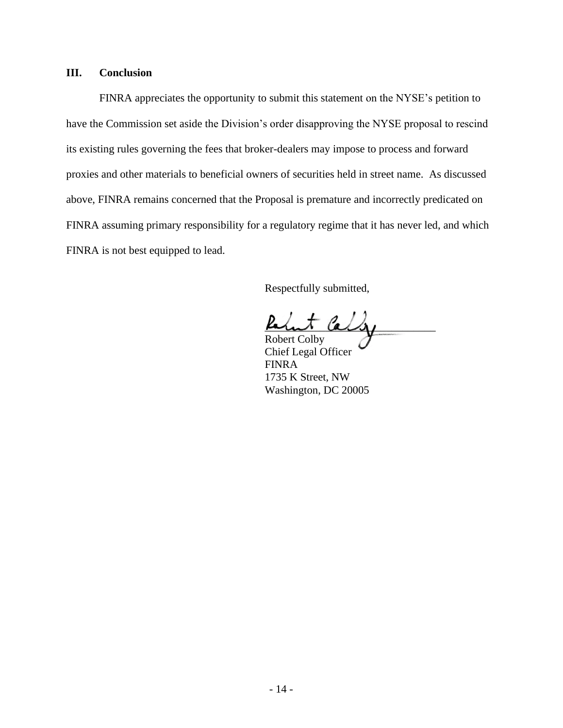## **III. Conclusion**

FINRA appreciates the opportunity to submit this statement on the NYSE's petition to have the Commission set aside the Division's order disapproving the NYSE proposal to rescind its existing rules governing the fees that broker-dealers may impose to process and forward proxies and other materials to beneficial owners of securities held in street name. As discussed above, FINRA remains concerned that the Proposal is premature and incorrectly predicated on FINRA assuming primary responsibility for a regulatory regime that it has never led, and which FINRA is not best equipped to lead.

Respectfully submitted,

 $\mu$ t la $\iota$ 

Robert Colby Chief Legal Officer FINRA 1735 K Street, NW Washington, DC 20005